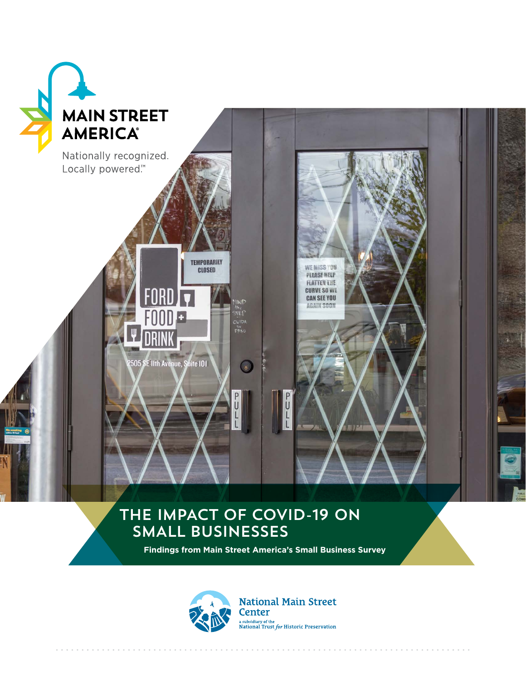

## THE IMPACT OF COVID-19 ON smAll businesses

**Findings from Main Street America's Small Business Survey**



**National Main Street Center** a subsidiary of the National Trust  $for$  Historic Preservation

. . . . . . . . . . . . . . . . . .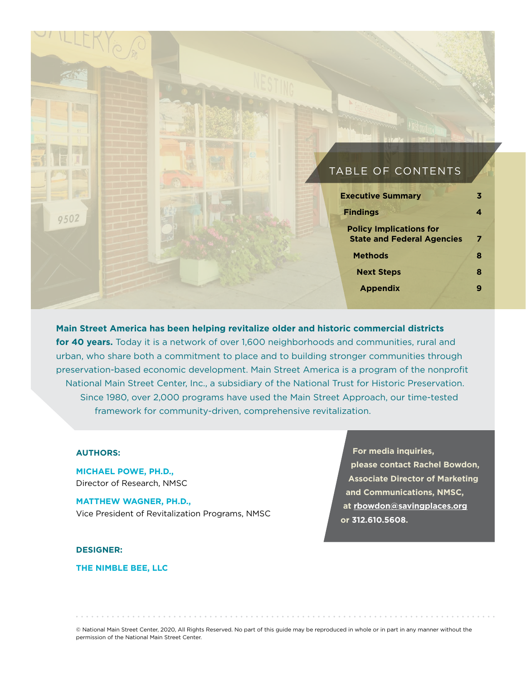#### TABLE OF CONTENTS

| <b>Executive Summary</b>                                            |   |
|---------------------------------------------------------------------|---|
| <b>Findings</b>                                                     |   |
| <b>Policy Implications for</b><br><b>State and Federal Agencies</b> | 7 |
| <b>Methods</b>                                                      | 8 |
| <b>Next Steps</b>                                                   | 8 |
| <b>Appendix</b>                                                     |   |
|                                                                     |   |

**Main Street America has been helping revitalize older and historic commercial districts for 40 years.** Today it is a network of over 1,600 neighborhoods and communities, rural and urban, who share both a commitment to place and to building stronger communities through preservation-based economic development. Main Street America is a program of the nonprofit National Main Street Center, Inc., a subsidiary of the National Trust for Historic Preservation. Since 1980, over 2,000 programs have used the Main Street Approach, our time-tested framework for community-driven, comprehensive revitalization.

#### **AUTHORS:**

9502

**MICHAEL POWE, PH.D.,**  Director of Research, NMSC

**MATTHEW WAGNER, PH.D.,**  Vice President of Revitalization Programs, NMSC

**DESIGNER:**

**THE NIMBLE BEE, LLC**

**For media inquiries, please contact Rachel Bowdon, Associate Director of Marketing and Communications, NMSC, at rbowdon@savingplaces.org or 312.610.5608.**

© National Main Street Center, 2020, All Rights Reserved. No part of this guide may be reproduced in whole or in part in any manner without the permission of the National Main Street Center.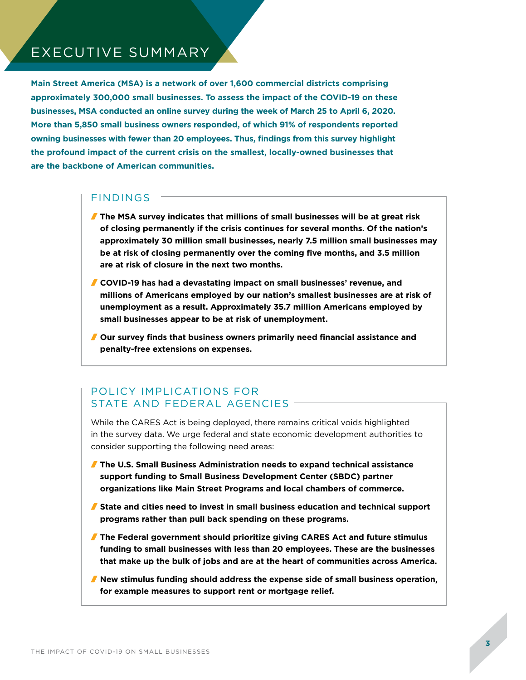### EXECUTIVE SUMMARY

**Main Street America (MSA) is a network of over 1,600 commercial districts comprising approximately 300,000 small businesses. To assess the impact of the COVID-19 on these businesses, MSA conducted an online survey during the week of March 25 to April 6, 2020. More than 5,850 small business owners responded, of which 91% of respondents reported owning businesses with fewer than 20 employees. Thus, findings from this survey highlight the profound impact of the current crisis on the smallest, locally-owned businesses that are the backbone of American communities.**

#### FINDINGS

- **The MSA survey indicates that millions of small businesses will be at great risk of closing permanently if the crisis continues for several months. Of the nation's approximately 30 million small businesses, nearly 7.5 million small businesses may be at risk of closing permanently over the coming five months, and 3.5 million are at risk of closure in the next two months.**
- **COVID-19 has had a devastating impact on small businesses' revenue, and millions of Americans employed by our nation's smallest businesses are at risk of unemployment as a result. Approximately 35.7 million Americans employed by small businesses appear to be at risk of unemployment.**
- **Our survey finds that business owners primarily need financial assistance and penalty-free extensions on expenses.**

#### POLICY IMPLICATIONS FOR STATE AND FEDERAL AGENCIES -

While the CARES Act is being deployed, there remains critical voids highlighted in the survey data. We urge federal and state economic development authorities to consider supporting the following need areas:

- **The U.S. Small Business Administration needs to expand technical assistance support funding to Small Business Development Center (SBDC) partner organizations like Main Street Programs and local chambers of commerce.**
- **State and cities need to invest in small business education and technical support programs rather than pull back spending on these programs.**
- **The Federal government should prioritize giving CARES Act and future stimulus funding to small businesses with less than 20 employees. These are the businesses that make up the bulk of jobs and are at the heart of communities across America.**
- **New stimulus funding should address the expense side of small business operation, for example measures to support rent or mortgage relief.**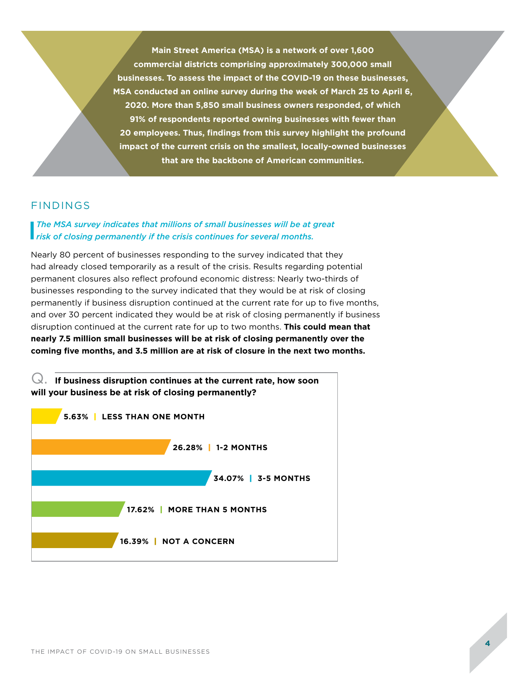**Main Street America (MSA) is a network of over 1,600 commercial districts comprising approximately 300,000 small businesses. To assess the impact of the COVID-19 on these businesses, MSA conducted an online survey during the week of March 25 to April 6, 2020. More than 5,850 small business owners responded, of which 91% of respondents reported owning businesses with fewer than 20 employees. Thus, findings from this survey highlight the profound impact of the current crisis on the smallest, locally-owned businesses that are the backbone of American communities.**

#### FINDINGS

# The MSA survey indicates that millions of small businesses will be at great risk of closing permanently if the crisis continues for several months.

Nearly 80 percent of businesses responding to the survey indicated that they had already closed temporarily as a result of the crisis. Results regarding potential permanent closures also reflect profound economic distress: Nearly two-thirds of businesses responding to the survey indicated that they would be at risk of closing permanently if business disruption continued at the current rate for up to five months, and over 30 percent indicated they would be at risk of closing permanently if business disruption continued at the current rate for up to two months. **This could mean that nearly 7.5 million small businesses will be at risk of closing permanently over the coming five months, and 3.5 million are at risk of closure in the next two months.** 

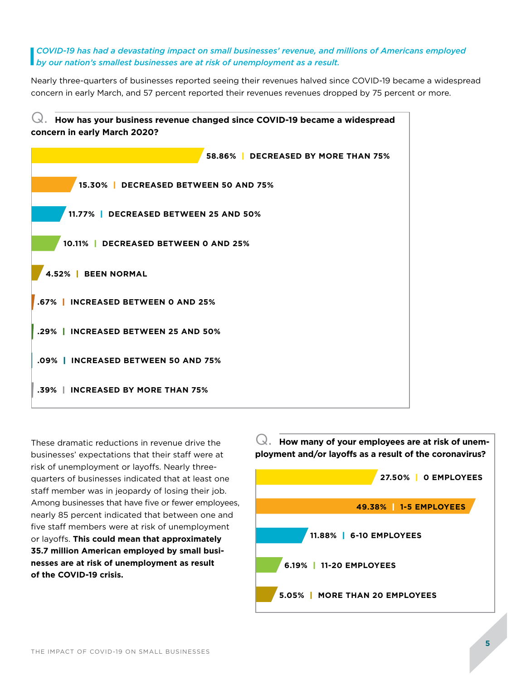#### by our nation's smallest businesses are at risk of unemployment as a result. **I** COVID-19 has had a devastating impact on small businesses' revenue, and millions of Americans employed by our nation's smallest businesses are at risk of unemployment as a result.

Nearly three-quarters of businesses reported seeing their revenues halved since COVID-19 became a widespread concern in early March, and 57 percent reported their revenues revenues dropped by 75 percent or more.



These dramatic reductions in revenue drive the businesses' expectations that their staff were at risk of unemployment or layoffs. Nearly threequarters of businesses indicated that at least one staff member was in jeopardy of losing their job. Among businesses that have five or fewer employees, nearly 85 percent indicated that between one and five staff members were at risk of unemployment or layoffs. **This could mean that approximately 35.7 million American employed by small businesses are at risk of unemployment as result of the COVID-19 crisis.** 

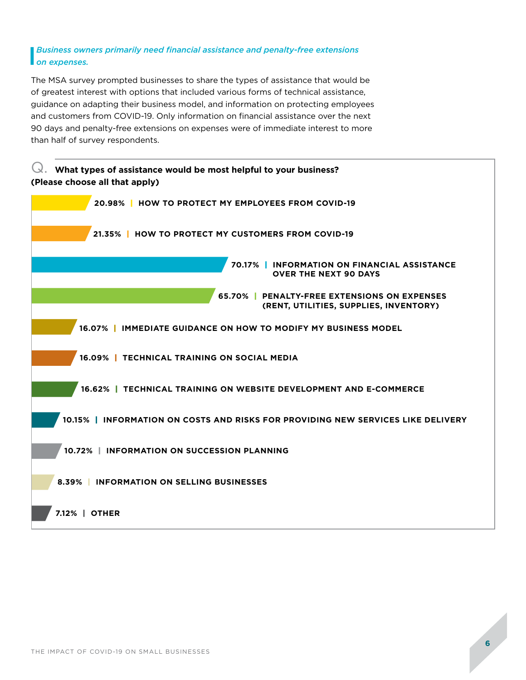#### **Business owners primarily need financial assistance and penalty-free extensions**<br>on expenses. *on expenses.*

and data members non- oc vibility-memberships on imalities assistance over the none<br>90 days and penalty-free extensions on expenses were of immediate interest to more The MSA survey prompted businesses to share the types of assistance that would be of greatest interest with options that included various forms of technical assistance, guidance on adapting their business model, and information on protecting employees and customers from COVID-19. Only information on financial assistance over the next than half of survey respondents.

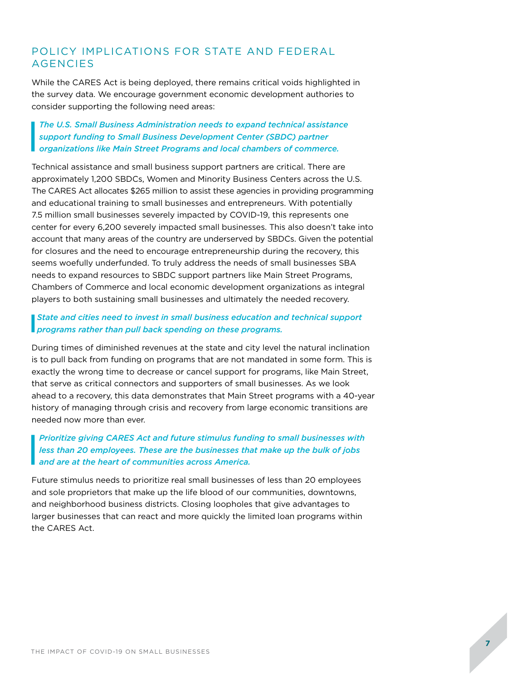#### POLICY IMPLICATIONS FOR STATE AND FEDERAL **AGENCIES**

While the CARES Act is being deployed, there remains critical voids highlighted in the survey data. We encourage government economic development authories to consider supporting the following need areas:

#### I *The U.S. Small Business Administration needs to expand technical assistance support funding to Small Business Development Center (SBDC) partner organizations like Main Street Programs and local chambers of commerce.*

Technical assistance and small business support partners are critical. There are approximately 1,200 SBDCs, Women and Minority Business Centers across the U.S. The CARES Act allocates \$265 million to assist these agencies in providing programming and educational training to small businesses and entrepreneurs. With potentially 7.5 million small businesses severely impacted by COVID-19, this represents one center for every 6,200 severely impacted small businesses. This also doesn't take into account that many areas of the country are underserved by SBDCs. Given the potential for closures and the need to encourage entrepreneurship during the recovery, this seems woefully underfunded. To truly address the needs of small businesses SBA needs to expand resources to SBDC support partners like Main Street Programs, Chambers of Commerce and local economic development organizations as integral players to both sustaining small businesses and ultimately the needed recovery.

#### **State and cities need to invest in small business education an programs rather than pull back spending on these programs.** *State and cities need to invest in small business education and technical support*

During times of diminished revenues at the state and city level the natural inclination is to pull back from funding on programs that are not mandated in some form. This is exactly the wrong time to decrease or cancel support for programs, like Main Street, that serve as critical connectors and supporters of small businesses. As we look ahead to a recovery, this data demonstrates that Main Street programs with a 40-year history of managing through crisis and recovery from large economic transitions are needed now more than ever.

#### I *Prioritize giving CARES Act and future stimulus funding to small businesses with less than 20 employees. These are the businesses that make up the bulk of jobs and are at the heart of communities across America.*

Future stimulus needs to prioritize real small businesses of less than 20 employees and sole proprietors that make up the life blood of our communities, downtowns, and neighborhood business districts. Closing loopholes that give advantages to larger businesses that can react and more quickly the limited loan programs within the CARES Act.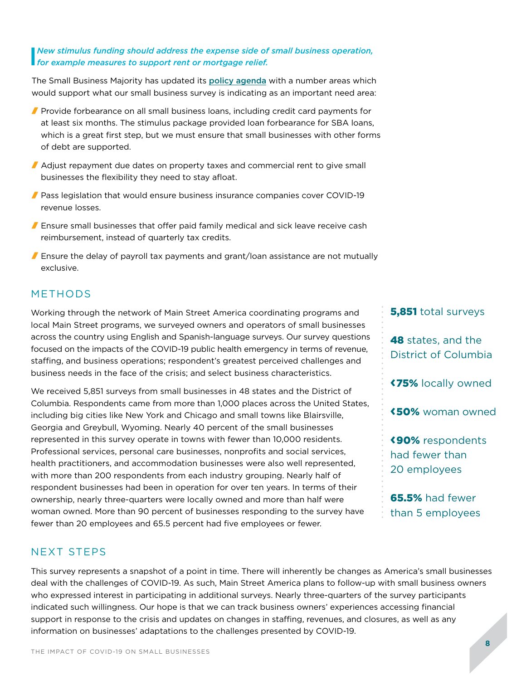#### **I** New stimulus funding should address the expense side of small business operation, <br>for example measures to support rent or mortgage relief. *for example measures to support rent or mortgage relief.*

The Small Business Majority has updated its policy agenda with a number areas which would support what our small business survey is indicating as an important need area:

- **Provide forbearance on all small business loans, including credit card payments for** at least six months. The stimulus package provided loan forbearance for SBA loans, which is a great first step, but we must ensure that small businesses with other forms of debt are supported.
- Adjust repayment due dates on property taxes and commercial rent to give small businesses the flexibility they need to stay afloat.
- **Pass legislation that would ensure business insurance companies cover COVID-19** revenue losses.
- **F** Ensure small businesses that offer paid family medical and sick leave receive cash reimbursement, instead of quarterly tax credits.
- **F** Ensure the delay of payroll tax payments and grant/loan assistance are not mutually exclusive.

#### METHODS

Working through the network of Main Street America coordinating programs and local Main Street programs, we surveyed owners and operators of small businesses across the country using English and Spanish-language surveys. Our survey questions focused on the impacts of the COVID-19 public health emergency in terms of revenue, staffing, and business operations; respondent's greatest perceived challenges and business needs in the face of the crisis; and select business characteristics.

We received 5,851 surveys from small businesses in 48 states and the District of Columbia. Respondents came from more than 1,000 places across the United States, including big cities like New York and Chicago and small towns like Blairsville, Georgia and Greybull, Wyoming. Nearly 40 percent of the small businesses represented in this survey operate in towns with fewer than 10,000 residents. Professional services, personal care businesses, nonprofits and social services, health practitioners, and accommodation businesses were also well represented, with more than 200 respondents from each industry grouping. Nearly half of respondent businesses had been in operation for over ten years. In terms of their ownership, nearly three-quarters were locally owned and more than half were woman owned. More than 90 percent of businesses responding to the survey have fewer than 20 employees and 65.5 percent had five employees or fewer.

**5,851** total surveys

48 states, and the District of Columbia

<75% locally owned

<50% woman owned

<90% respondents had fewer than 20 employees

65.5% had fewer than 5 employees

#### NEXT STEPS

This survey represents a snapshot of a point in time. There will inherently be changes as America's small businesses deal with the challenges of COVID-19. As such, Main Street America plans to follow-up with small business owners who expressed interest in participating in additional surveys. Nearly three-quarters of the survey participants indicated such willingness. Our hope is that we can track business owners' experiences accessing financial support in response to the crisis and updates on changes in staffing, revenues, and closures, as well as any information on businesses' adaptations to the challenges presented by COVID-19.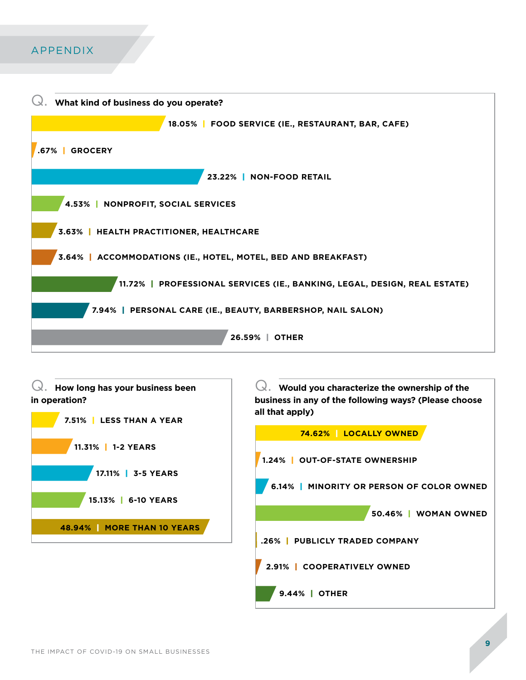## APPENDIX

| What kind of business do you operate?                                     |
|---------------------------------------------------------------------------|
| 18.05%   FOOD SERVICE (IE., RESTAURANT, BAR, CAFE)                        |
| <b>GROCERY</b><br>.67%                                                    |
| 23.22%   NON-FOOD RETAIL                                                  |
| 4.53%<br><b>NONPROFIT, SOCIAL SERVICES</b>                                |
| 3.63%   HEALTH PRACTITIONER, HEALTHCARE                                   |
| 3.64%   ACCOMMODATIONS (IE., HOTEL, MOTEL, BED AND BREAKFAST)             |
| 11.72%   PROFESSIONAL SERVICES (IE., BANKING, LEGAL, DESIGN, REAL ESTATE) |
| 7.94%   PERSONAL CARE (IE., BEAUTY, BARBERSHOP, NAIL SALON)               |
| 26.59%   OTHER                                                            |

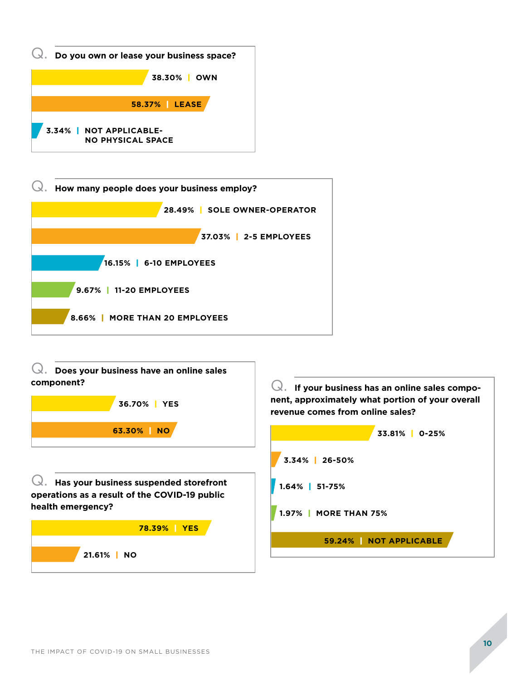



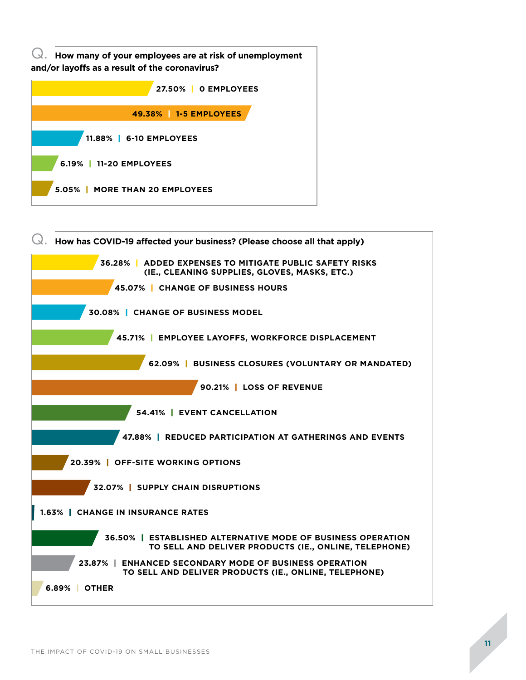

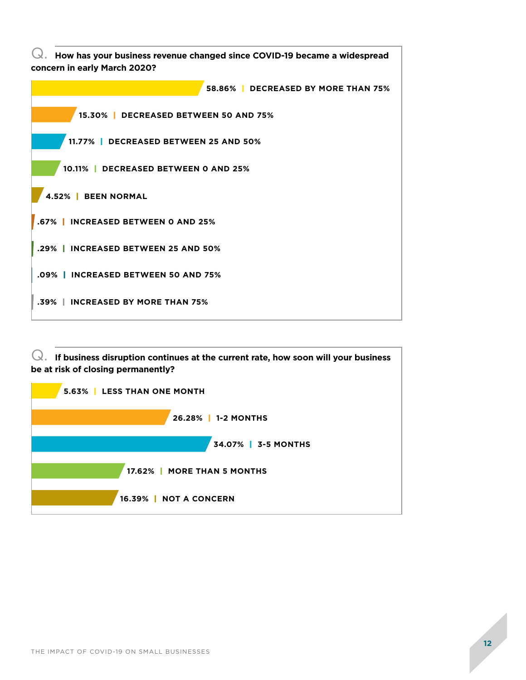**58.86%** | **DECREASED BY MORE THAN 75% 15.30%** | **DECREASED BETWEEN 50 AND 75% 11.77%** | **DECREASED BETWEEN 25 AND 50% 10.11%** | **DECREASED BETWEEN 0 AND 25% 4.52%** | **BEEN NORMAL .67%** | **INCREASED BETWEEN 0 AND 25% .29%** | **INCREASED BETWEEN 25 AND 50% .09%** | **INCREASED BETWEEN 50 AND 75% .39%** | **INCREASED BY MORE THAN 75%** Q. **How has your business revenue changed since COVID-19 became a widespread concern in early March 2020?**

Q. **If business disruption continues at the current rate, how soon will your business be at risk of closing permanently?**